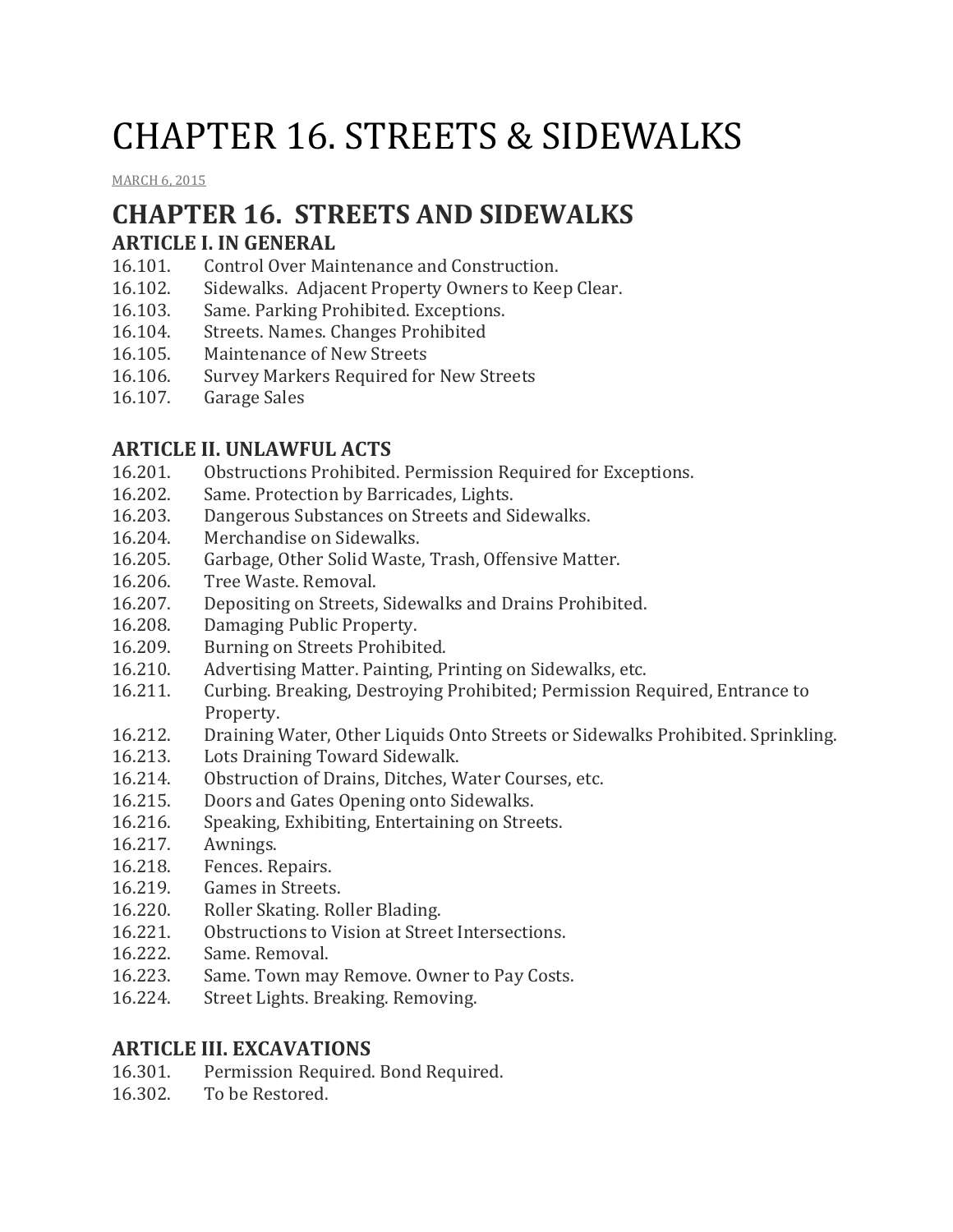# CHAPTER 16. STREETS & SIDEWALKS

[MARCH](http://townofcampobello.us/chapter-16-streets-sidewalks/) 6, 2015

## **CHAPTER 16. STREETS AND SIDEWALKS**

#### **ARTICLE I. IN GENERAL**

- 16.101. Control Over Maintenance and Construction.
- 16.102. Sidewalks. Adjacent Property Owners to Keep Clear.
- 16.103. Same. Parking Prohibited. Exceptions.
- 16.104. Streets. Names. Changes Prohibited
- 16.105. Maintenance of New Streets
- 16.106. Survey Markers Required for New Streets
- 16.107. Garage Sales

#### **ARTICLE II. UNLAWFUL ACTS**

- 16.201. Obstructions Prohibited. Permission Required for Exceptions.
- 16.202. Same. Protection by Barricades, Lights.
- 16.203. Dangerous Substances on Streets and Sidewalks.
- 16.204. Merchandise on Sidewalks.
- 16.205. Garbage, Other Solid Waste, Trash, Offensive Matter.
- 16.206. Tree Waste. Removal.
- 16.207. Depositing on Streets, Sidewalks and Drains Prohibited.
- 16.208. Damaging Public Property.
- 16.209. Burning on Streets Prohibited.
- 16.210. Advertising Matter. Painting, Printing on Sidewalks, etc.
- 16.211. Curbing. Breaking, Destroying Prohibited; Permission Required, Entrance to Property.
- 16.212. Draining Water, Other Liquids Onto Streets or Sidewalks Prohibited. Sprinkling.
- 16.213. Lots Draining Toward Sidewalk.
- 16.214. Obstruction of Drains, Ditches, Water Courses, etc.
- 16.215. Doors and Gates Opening onto Sidewalks.
- 16.216. Speaking, Exhibiting, Entertaining on Streets.
- 16.217. Awnings.
- 16.218. Fences. Repairs.
- 16.219. Games in Streets.
- 16.220. Roller Skating. Roller Blading.
- 16.221. Obstructions to Vision at Street Intersections.
- 16.222. Same. Removal.
- 16.223. Same. Town may Remove. Owner to Pay Costs.
- 16.224. Street Lights. Breaking. Removing.

#### **ARTICLE III. EXCAVATIONS**

- 16.301. Permission Required. Bond Required.
- 16.302. To be Restored.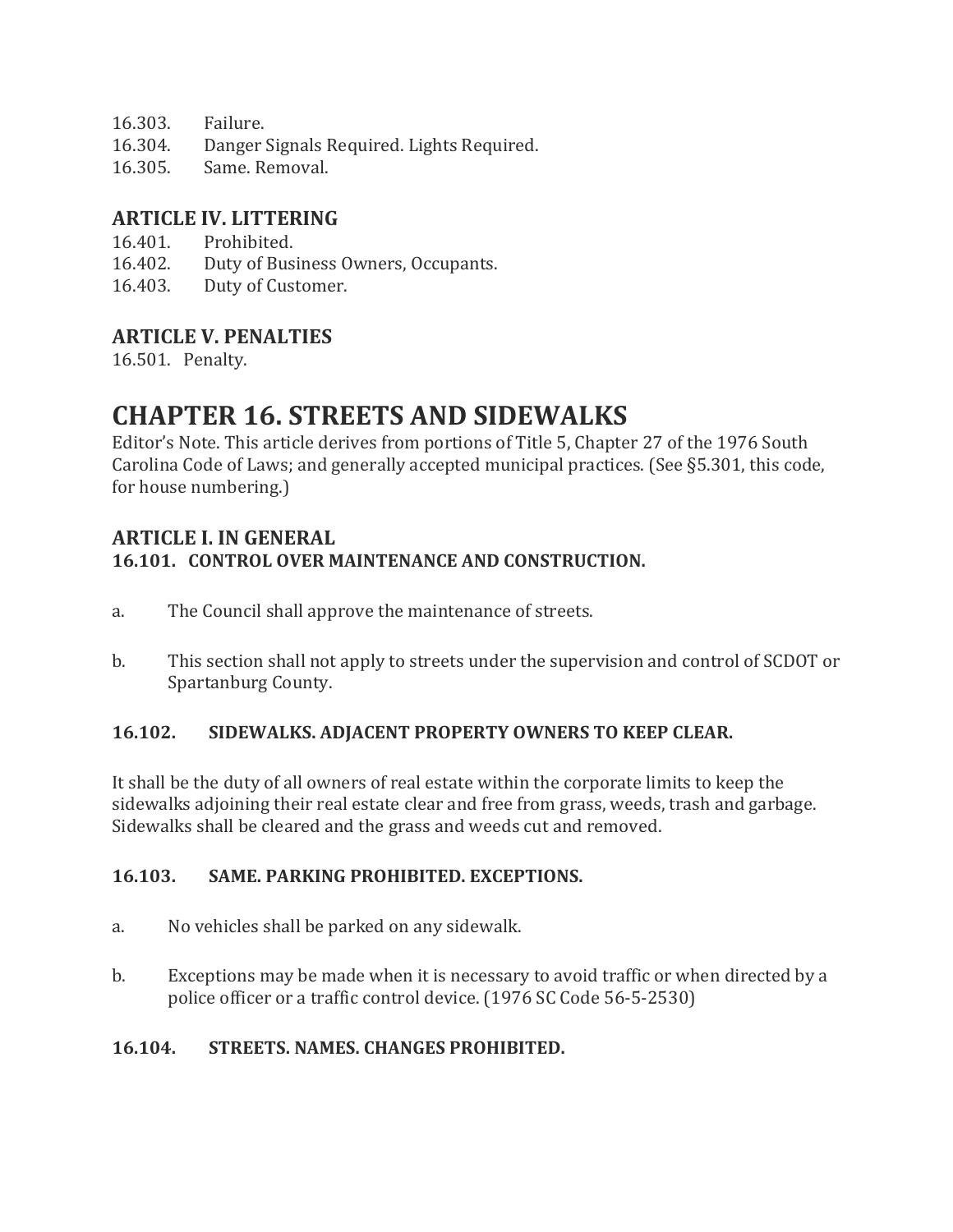- 16.303. Failure.
- 16.304. Danger Signals Required. Lights Required.
- 16.305. Same. Removal.

#### **ARTICLE IV. LITTERING**

- 16.401. Prohibited.
- 16.402. Duty of Business Owners, Occupants.
- 16.403. Duty of Customer.

#### **ARTICLE V. PENALTIES**

16.501. Penalty.

### **CHAPTER 16. STREETS AND SIDEWALKS**

Editor's Note. This article derives from portions of Title 5, Chapter 27 of the 1976 South Carolina Code of Laws; and generally accepted municipal practices. (See §5.301, this code, for house numbering.)

#### **ARTICLE I. IN GENERAL**

#### **16.101. CONTROL OVER MAINTENANCE AND CONSTRUCTION.**

- a. The Council shall approve the maintenance of streets.
- b. This section shall not apply to streets under the supervision and control of SCDOT or Spartanburg County.

#### **16.102. SIDEWALKS. ADJACENT PROPERTY OWNERS TO KEEP CLEAR.**

It shall be the duty of all owners of real estate within the corporate limits to keep the sidewalks adjoining their real estate clear and free from grass, weeds, trash and garbage. Sidewalks shall be cleared and the grass and weeds cut and removed.

#### **16.103. SAME. PARKING PROHIBITED. EXCEPTIONS.**

- a. No vehicles shall be parked on any sidewalk.
- b. Exceptions may be made when it is necessary to avoid traffic or when directed by a police officer or a traffic control device. (1976 SC Code 56-5-2530)

#### **16.104. STREETS. NAMES. CHANGES PROHIBITED.**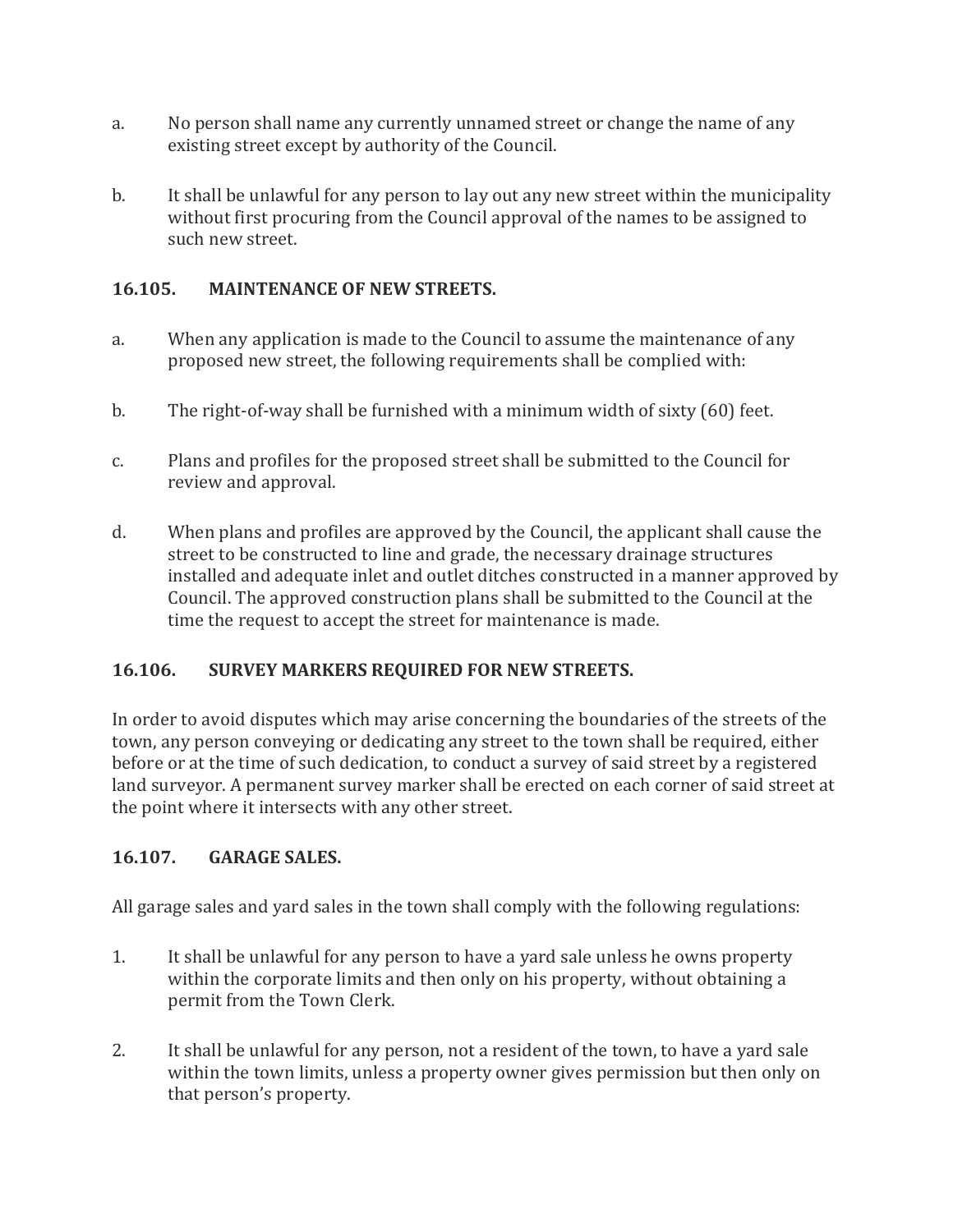- a. No person shall name any currently unnamed street or change the name of any existing street except by authority of the Council.
- b. It shall be unlawful for any person to lay out any new street within the municipality without first procuring from the Council approval of the names to be assigned to such new street.

#### **16.105. MAINTENANCE OF NEW STREETS.**

- a. When any application is made to the Council to assume the maintenance of any proposed new street, the following requirements shall be complied with:
- b. The right-of-way shall be furnished with a minimum width of sixty (60) feet.
- c. Plans and profiles for the proposed street shall be submitted to the Council for review and approval.
- d. When plans and profiles are approved by the Council, the applicant shall cause the street to be constructed to line and grade, the necessary drainage structures installed and adequate inlet and outlet ditches constructed in a manner approved by Council. The approved construction plans shall be submitted to the Council at the time the request to accept the street for maintenance is made.

#### **16.106. SURVEY MARKERS REQUIRED FOR NEW STREETS.**

In order to avoid disputes which may arise concerning the boundaries of the streets of the town, any person conveying or dedicating any street to the town shall be required, either before or at the time of such dedication, to conduct a survey of said street by a registered land surveyor. A permanent survey marker shall be erected on each corner of said street at the point where it intersects with any other street.

#### **16.107. GARAGE SALES.**

All garage sales and yard sales in the town shall comply with the following regulations:

- 1. It shall be unlawful for any person to have a yard sale unless he owns property within the corporate limits and then only on his property, without obtaining a permit from the Town Clerk.
- 2. It shall be unlawful for any person, not a resident of the town, to have a yard sale within the town limits, unless a property owner gives permission but then only on that person's property.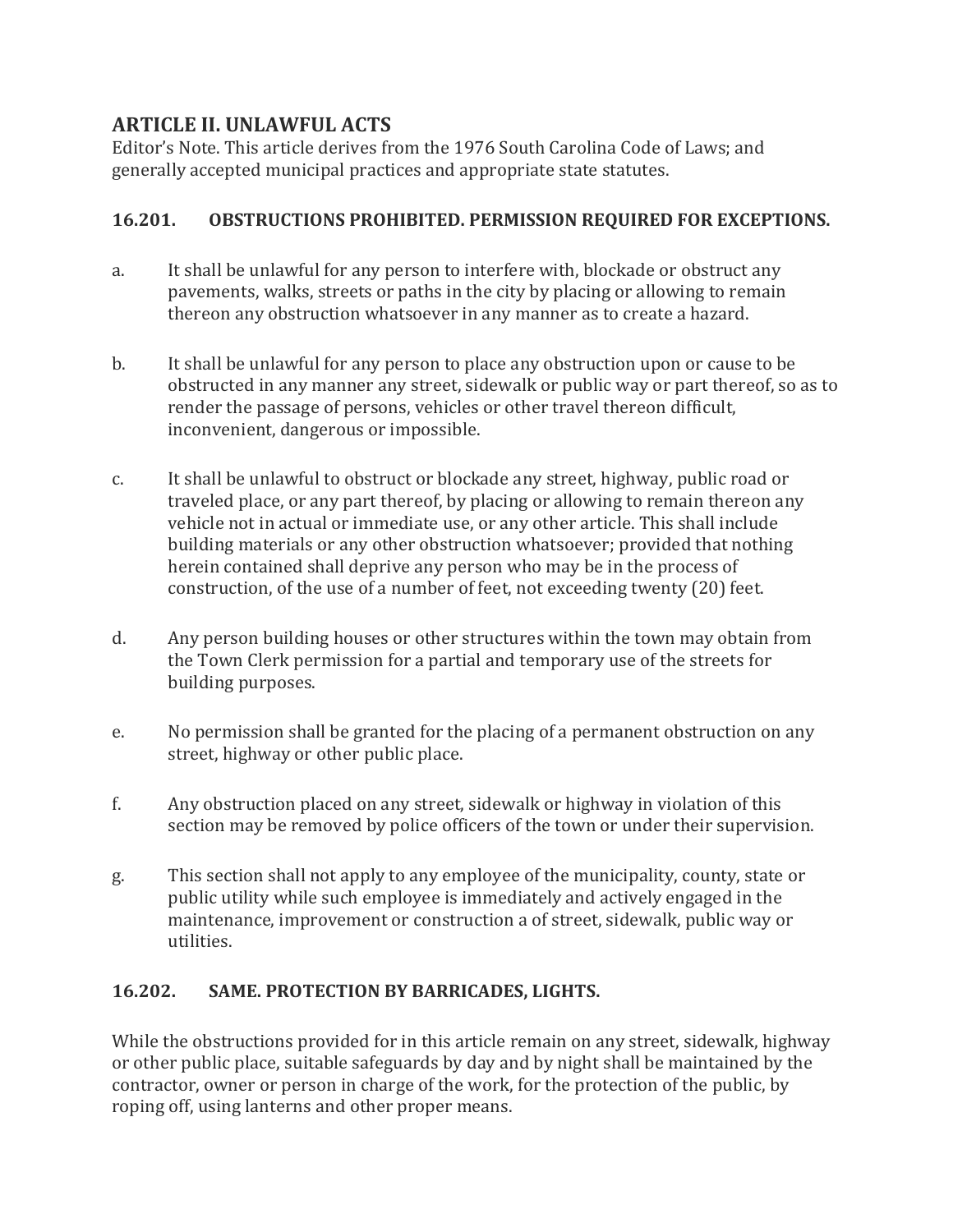#### **ARTICLE II. UNLAWFUL ACTS**

Editor's Note. This article derives from the 1976 South Carolina Code of Laws; and generally accepted municipal practices and appropriate state statutes.

#### **16.201. OBSTRUCTIONS PROHIBITED. PERMISSION REQUIRED FOR EXCEPTIONS.**

- a. It shall be unlawful for any person to interfere with, blockade or obstruct any pavements, walks, streets or paths in the city by placing or allowing to remain thereon any obstruction whatsoever in any manner as to create a hazard.
- b. It shall be unlawful for any person to place any obstruction upon or cause to be obstructed in any manner any street, sidewalk or public way or part thereof, so as to render the passage of persons, vehicles or other travel thereon difficult, inconvenient, dangerous or impossible.
- c. It shall be unlawful to obstruct or blockade any street, highway, public road or traveled place, or any part thereof, by placing or allowing to remain thereon any vehicle not in actual or immediate use, or any other article. This shall include building materials or any other obstruction whatsoever; provided that nothing herein contained shall deprive any person who may be in the process of construction, of the use of a number of feet, not exceeding twenty (20) feet.
- d. Any person building houses or other structures within the town may obtain from the Town Clerk permission for a partial and temporary use of the streets for building purposes.
- e. No permission shall be granted for the placing of a permanent obstruction on any street, highway or other public place.
- f. Any obstruction placed on any street, sidewalk or highway in violation of this section may be removed by police officers of the town or under their supervision.
- g. This section shall not apply to any employee of the municipality, county, state or public utility while such employee is immediately and actively engaged in the maintenance, improvement or construction a of street, sidewalk, public way or utilities.

#### **16.202. SAME. PROTECTION BY BARRICADES, LIGHTS.**

While the obstructions provided for in this article remain on any street, sidewalk, highway or other public place, suitable safeguards by day and by night shall be maintained by the contractor, owner or person in charge of the work, for the protection of the public, by roping off, using lanterns and other proper means.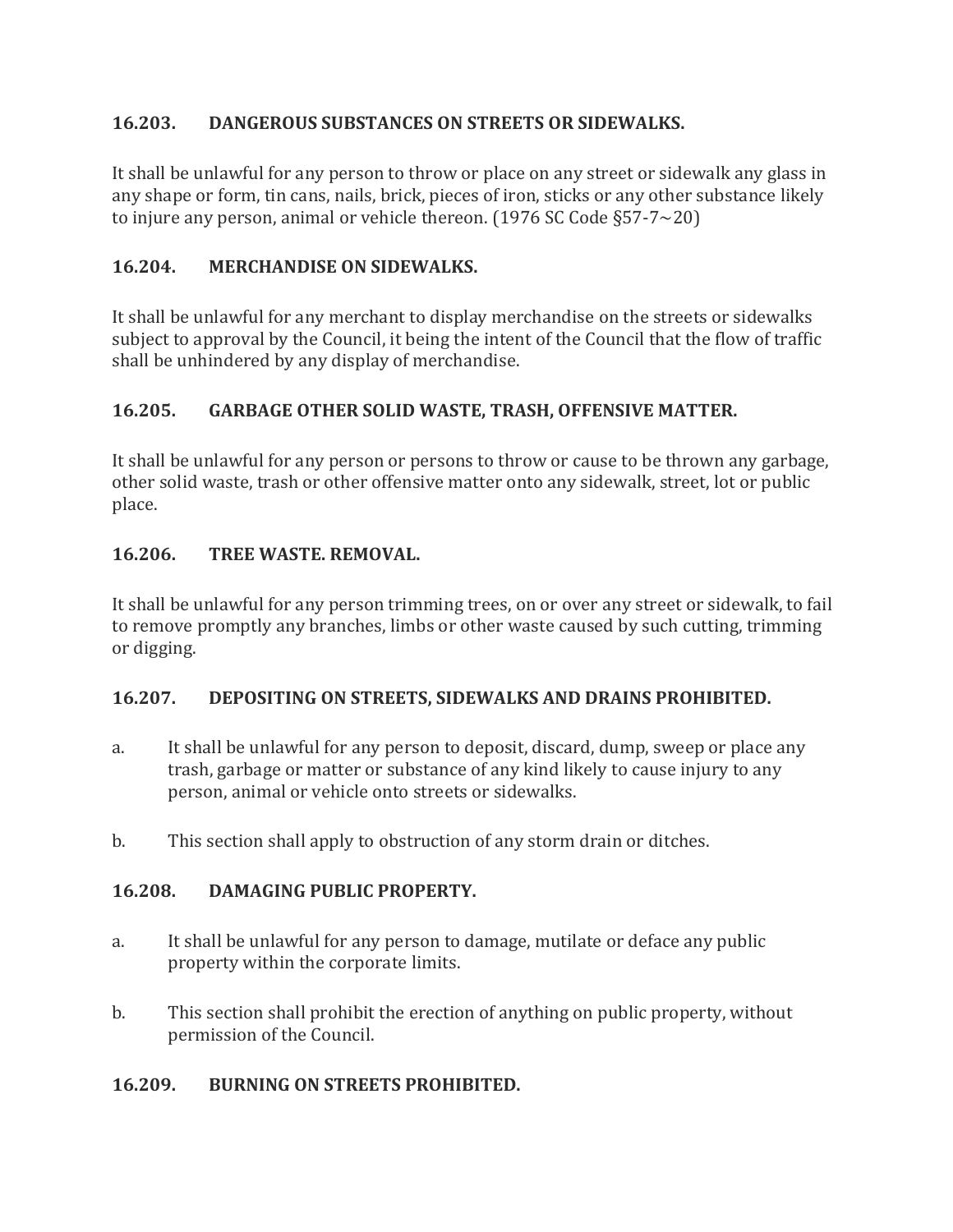#### **16.203. DANGEROUS SUBSTANCES ON STREETS OR SIDEWALKS.**

It shall be unlawful for any person to throw or place on any street or sidewalk any glass in any shape or form, tin cans, nails, brick, pieces of iron, sticks or any other substance likely to injure any person, animal or vehicle thereon. (1976 SC Code §57-7~20)

#### **16.204. MERCHANDISE ON SIDEWALKS.**

It shall be unlawful for any merchant to display merchandise on the streets or sidewalks subject to approval by the Council, it being the intent of the Council that the flow of traffic shall be unhindered by any display of merchandise.

#### **16.205. GARBAGE OTHER SOLID WASTE, TRASH, OFFENSIVE MATTER.**

It shall be unlawful for any person or persons to throw or cause to be thrown any garbage, other solid waste, trash or other offensive matter onto any sidewalk, street, lot or public place.

#### **16.206. TREE WASTE. REMOVAL.**

It shall be unlawful for any person trimming trees, on or over any street or sidewalk, to fail to remove promptly any branches, limbs or other waste caused by such cutting, trimming or digging.

#### **16.207. DEPOSITING ON STREETS, SIDEWALKS AND DRAINS PROHIBITED.**

- a. It shall be unlawful for any person to deposit, discard, dump, sweep or place any trash, garbage or matter or substance of any kind likely to cause injury to any person, animal or vehicle onto streets or sidewalks.
- b. This section shall apply to obstruction of any storm drain or ditches.

#### **16.208. DAMAGING PUBLIC PROPERTY.**

- a. It shall be unlawful for any person to damage, mutilate or deface any public property within the corporate limits.
- b. This section shall prohibit the erection of anything on public property, without permission of the Council.

#### **16.209. BURNING ON STREETS PROHIBITED.**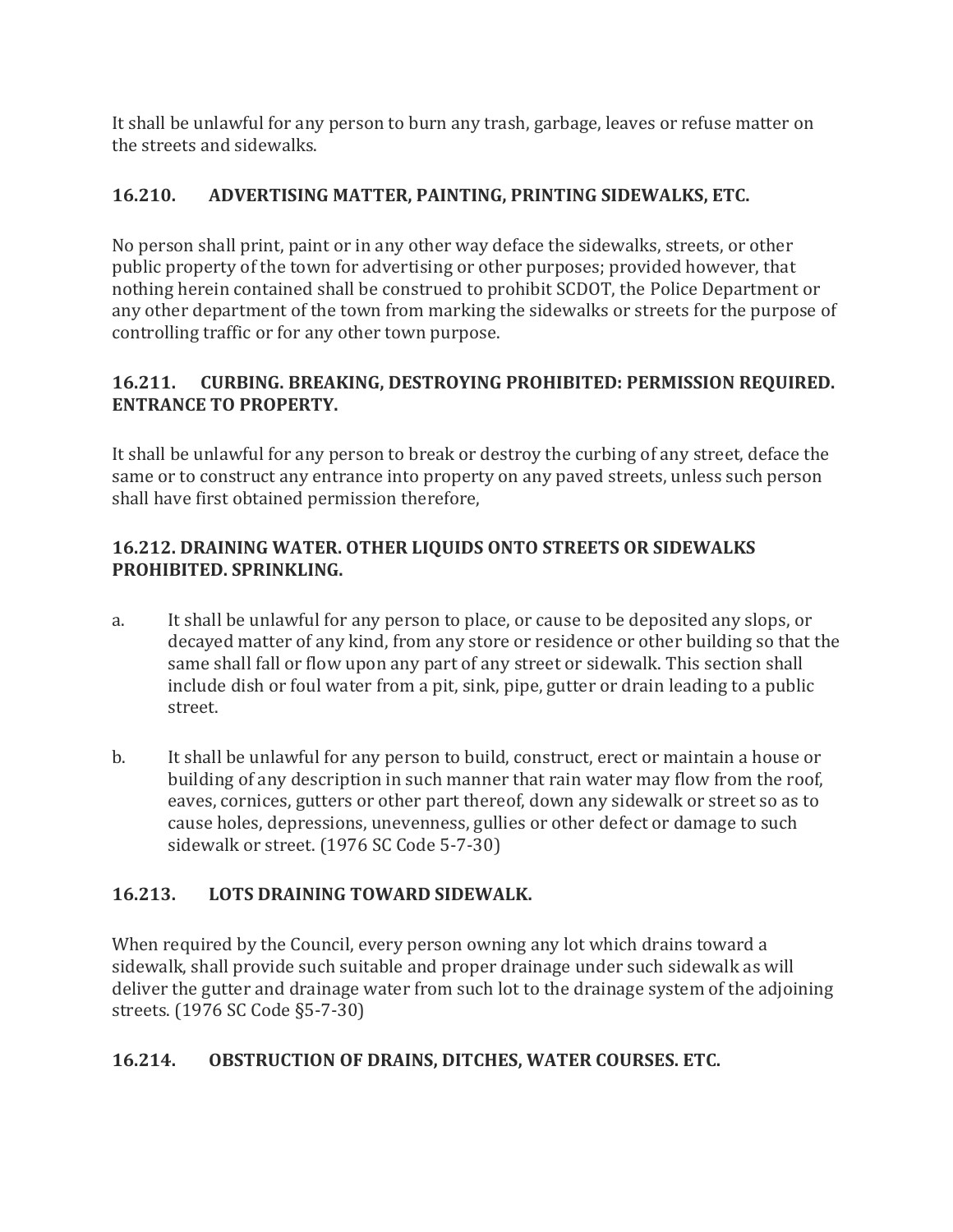It shall be unlawful for any person to burn any trash, garbage, leaves or refuse matter on the streets and sidewalks.

#### **16.210. ADVERTISING MATTER, PAINTING, PRINTING SIDEWALKS, ETC.**

No person shall print, paint or in any other way deface the sidewalks, streets, or other public property of the town for advertising or other purposes; provided however, that nothing herein contained shall be construed to prohibit SCDOT, the Police Department or any other department of the town from marking the sidewalks or streets for the purpose of controlling traffic or for any other town purpose.

#### **16.211. CURBING. BREAKING, DESTROYING PROHIBITED: PERMISSION REQUIRED. ENTRANCE TO PROPERTY.**

It shall be unlawful for any person to break or destroy the curbing of any street, deface the same or to construct any entrance into property on any paved streets, unless such person shall have first obtained permission therefore,

#### **16.212. DRAINING WATER. OTHER LIQUIDS ONTO STREETS OR SIDEWALKS PROHIBITED. SPRINKLING.**

- a. It shall be unlawful for any person to place, or cause to be deposited any slops, or decayed matter of any kind, from any store or residence or other building so that the same shall fall or flow upon any part of any street or sidewalk. This section shall include dish or foul water from a pit, sink, pipe, gutter or drain leading to a public street.
- b. It shall be unlawful for any person to build, construct, erect or maintain a house or building of any description in such manner that rain water may flow from the roof, eaves, cornices, gutters or other part thereof, down any sidewalk or street so as to cause holes, depressions, unevenness, gullies or other defect or damage to such sidewalk or street. (1976 SC Code 5-7-30)

#### **16.213. LOTS DRAINING TOWARD SIDEWALK.**

When required by the Council, every person owning any lot which drains toward a sidewalk, shall provide such suitable and proper drainage under such sidewalk as will deliver the gutter and drainage water from such lot to the drainage system of the adjoining streets. (1976 SC Code §5-7-30)

#### **16.214. OBSTRUCTION OF DRAINS, DITCHES, WATER COURSES. ETC.**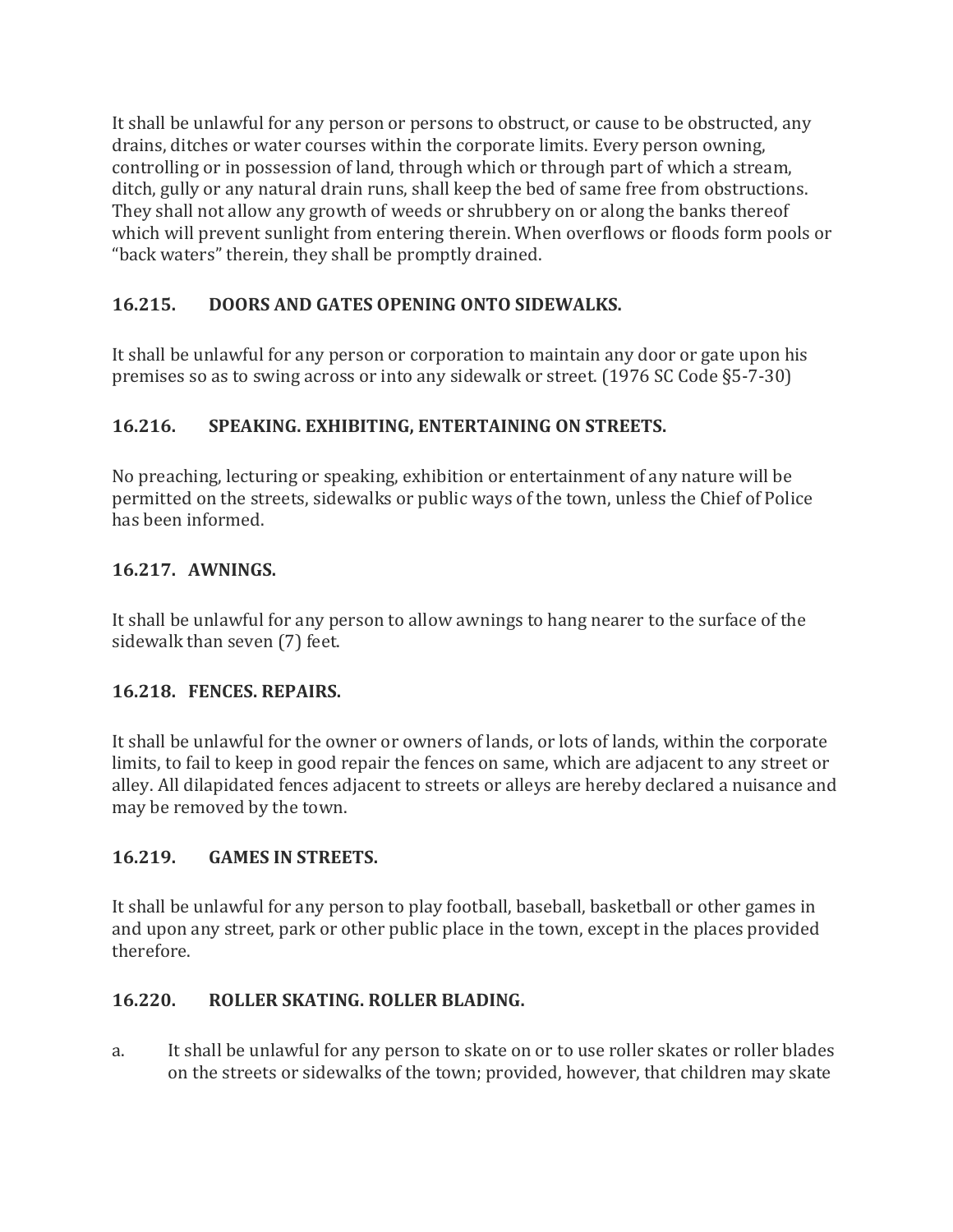It shall be unlawful for any person or persons to obstruct, or cause to be obstructed, any drains, ditches or water courses within the corporate limits. Every person owning, controlling or in possession of land, through which or through part of which a stream, ditch, gully or any natural drain runs, shall keep the bed of same free from obstructions. They shall not allow any growth of weeds or shrubbery on or along the banks thereof which will prevent sunlight from entering therein. When overflows or floods form pools or "back waters" therein, they shall be promptly drained.

#### **16.215. DOORS AND GATES OPENING ONTO SIDEWALKS.**

It shall be unlawful for any person or corporation to maintain any door or gate upon his premises so as to swing across or into any sidewalk or street. (1976 SC Code §5-7-30)

#### **16.216. SPEAKING. EXHIBITING, ENTERTAINING ON STREETS.**

No preaching, lecturing or speaking, exhibition or entertainment of any nature will be permitted on the streets, sidewalks or public ways of the town, unless the Chief of Police has been informed.

#### **16.217. AWNINGS.**

It shall be unlawful for any person to allow awnings to hang nearer to the surface of the sidewalk than seven (7) feet.

#### **16.218. FENCES. REPAIRS.**

It shall be unlawful for the owner or owners of lands, or lots of lands, within the corporate limits, to fail to keep in good repair the fences on same, which are adjacent to any street or alley. All dilapidated fences adjacent to streets or alleys are hereby declared a nuisance and may be removed by the town.

#### **16.219. GAMES IN STREETS.**

It shall be unlawful for any person to play football, baseball, basketball or other games in and upon any street, park or other public place in the town, except in the places provided therefore.

#### **16.220. ROLLER SKATING. ROLLER BLADING.**

a. It shall be unlawful for any person to skate on or to use roller skates or roller blades on the streets or sidewalks of the town; provided, however, that children may skate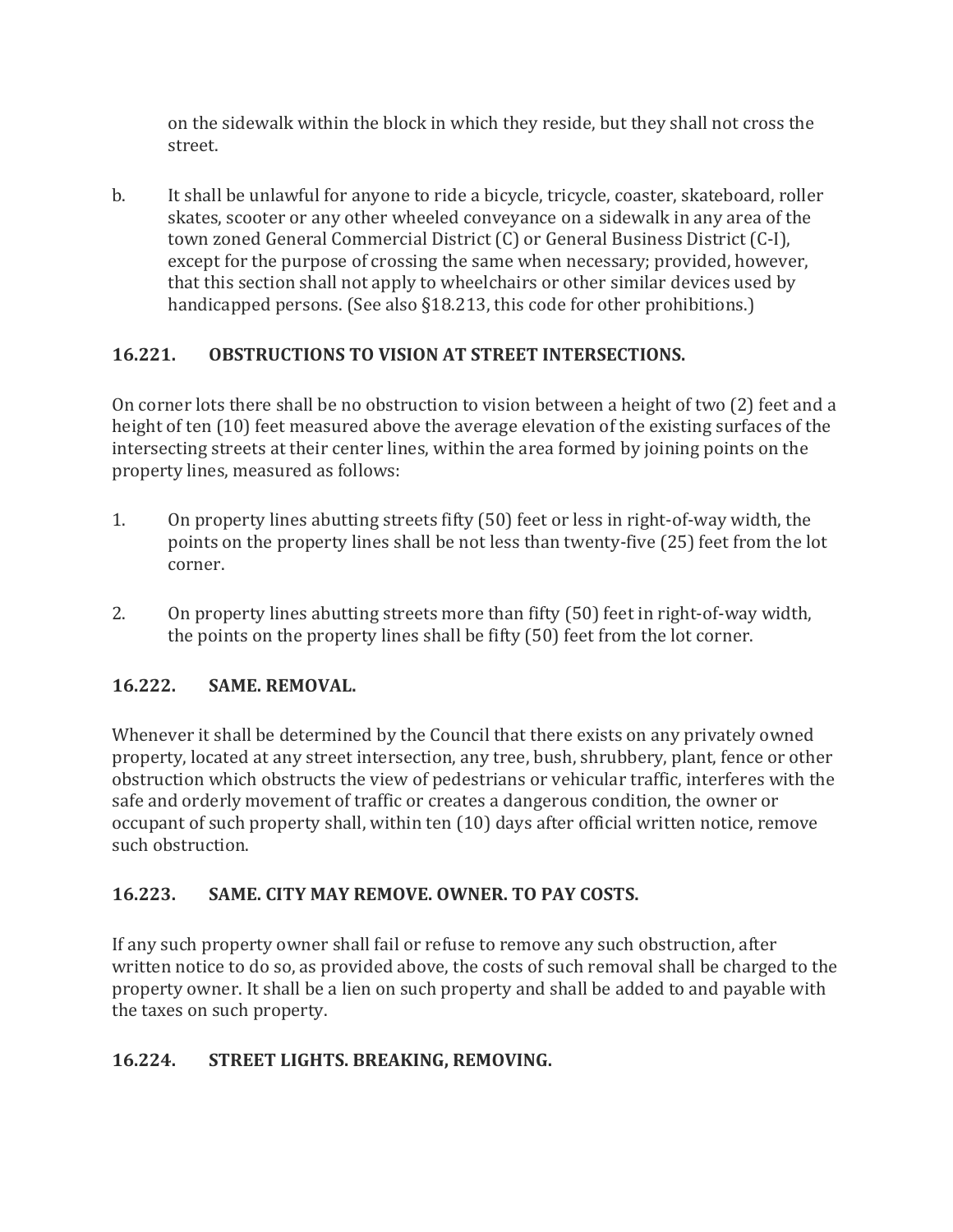on the sidewalk within the block in which they reside, but they shall not cross the street.

b. It shall be unlawful for anyone to ride a bicycle, tricycle, coaster, skateboard, roller skates, scooter or any other wheeled conveyance on a sidewalk in any area of the town zoned General Commercial District (C) or General Business District (C-I), except for the purpose of crossing the same when necessary; provided, however, that this section shall not apply to wheelchairs or other similar devices used by handicapped persons. (See also §18.213, this code for other prohibitions.)

#### **16.221. OBSTRUCTIONS TO VISION AT STREET INTERSECTIONS.**

On corner lots there shall be no obstruction to vision between a height of two (2) feet and a height of ten (10) feet measured above the average elevation of the existing surfaces of the intersecting streets at their center lines, within the area formed by joining points on the property lines, measured as follows:

- 1. On property lines abutting streets fifty (50) feet or less in right-of-way width, the points on the property lines shall be not less than twenty-five (25) feet from the lot corner.
- 2. On property lines abutting streets more than fifty (50) feet in right-of-way width, the points on the property lines shall be fifty (50) feet from the lot corner.

#### **16.222. SAME. REMOVAL.**

Whenever it shall be determined by the Council that there exists on any privately owned property, located at any street intersection, any tree, bush, shrubbery, plant, fence or other obstruction which obstructs the view of pedestrians or vehicular traffic, interferes with the safe and orderly movement of traffic or creates a dangerous condition, the owner or occupant of such property shall, within ten (10) days after official written notice, remove such obstruction.

#### **16.223. SAME. CITY MAY REMOVE. OWNER. TO PAY COSTS.**

If any such property owner shall fail or refuse to remove any such obstruction, after written notice to do so, as provided above, the costs of such removal shall be charged to the property owner. It shall be a lien on such property and shall be added to and payable with the taxes on such property.

#### **16.224. STREET LIGHTS. BREAKING, REMOVING.**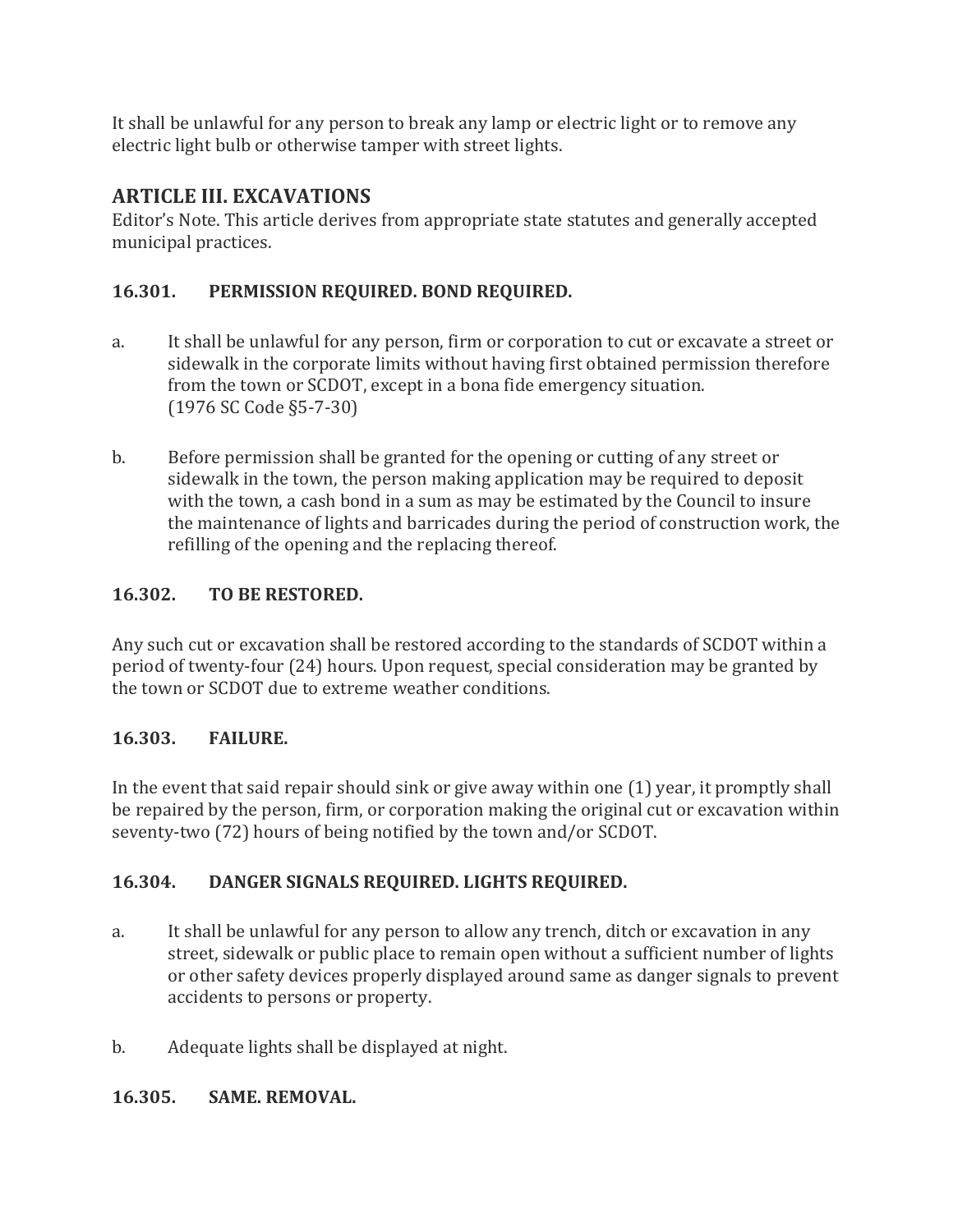It shall be unlawful for any person to break any lamp or electric light or to remove any electric light bulb or otherwise tamper with street lights.

#### **ARTICLE III. EXCAVATIONS**

Editor's Note. This article derives from appropriate state statutes and generally accepted municipal practices.

#### **16.301. PERMISSION REQUIRED. BOND REQUIRED.**

- a. It shall be unlawful for any person, firm or corporation to cut or excavate a street or sidewalk in the corporate limits without having first obtained permission therefore from the town or SCDOT, except in a bona fide emergency situation. (1976 SC Code §5-7-30)
- b. Before permission shall be granted for the opening or cutting of any street or sidewalk in the town, the person making application may be required to deposit with the town, a cash bond in a sum as may be estimated by the Council to insure the maintenance of lights and barricades during the period of construction work, the refilling of the opening and the replacing thereof.

#### **16.302. TO BE RESTORED.**

Any such cut or excavation shall be restored according to the standards of SCDOT within a period of twenty-four (24) hours. Upon request, special consideration may be granted by the town or SCDOT due to extreme weather conditions.

#### **16.303. FAILURE.**

In the event that said repair should sink or give away within one (1) year, it promptly shall be repaired by the person, firm, or corporation making the original cut or excavation within seventy-two (72) hours of being notified by the town and/or SCDOT.

#### **16.304. DANGER SIGNALS REQUIRED. LIGHTS REQUIRED.**

- a. It shall be unlawful for any person to allow any trench, ditch or excavation in any street, sidewalk or public place to remain open without a sufficient number of lights or other safety devices properly displayed around same as danger signals to prevent accidents to persons or property.
- b. Adequate lights shall be displayed at night.

#### **16.305. SAME. REMOVAL.**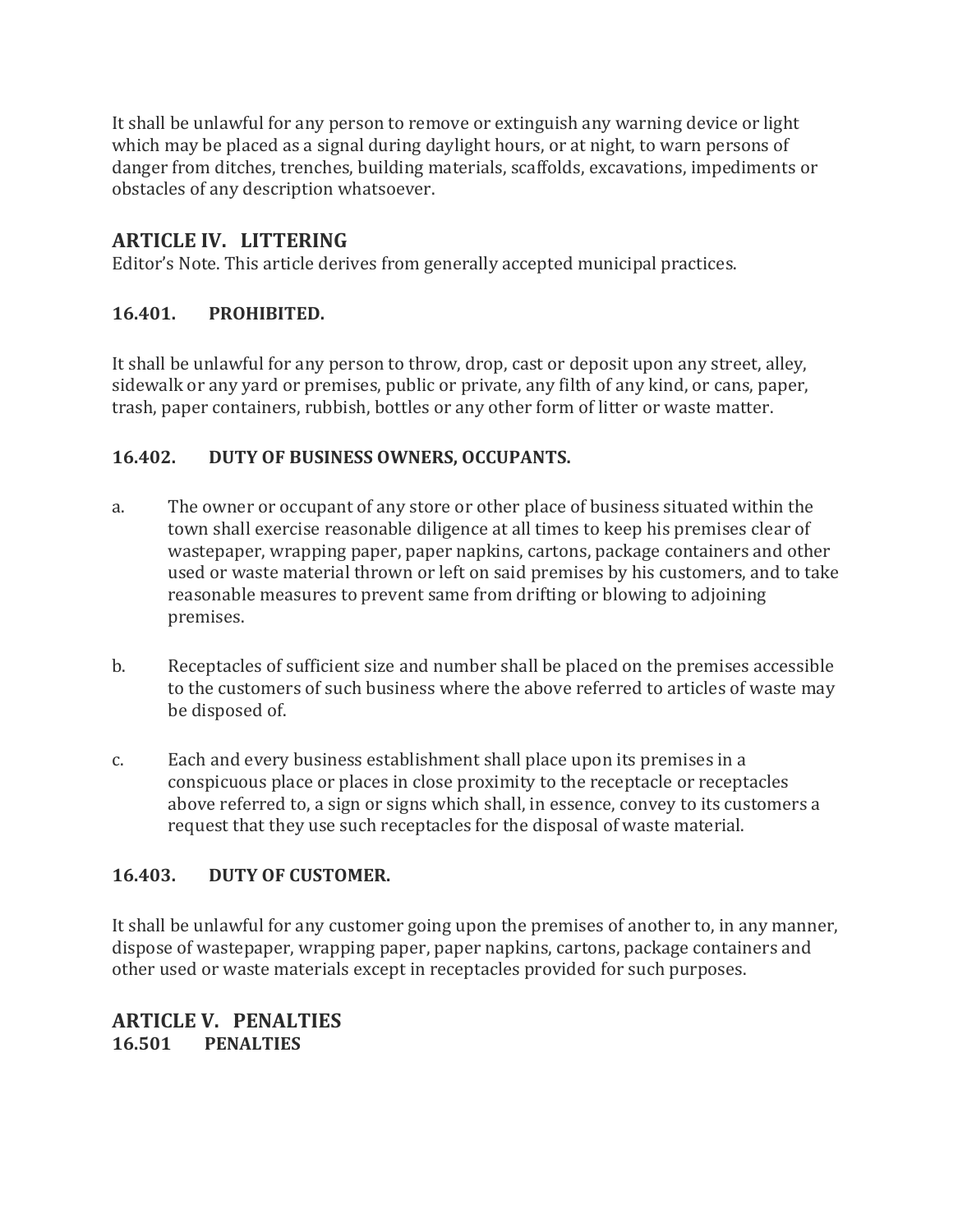It shall be unlawful for any person to remove or extinguish any warning device or light which may be placed as a signal during daylight hours, or at night, to warn persons of danger from ditches, trenches, building materials, scaffolds, excavations, impediments or obstacles of any description whatsoever.

#### **ARTICLE IV. LITTERING**

Editor's Note. This article derives from generally accepted municipal practices.

#### **16.401. PROHIBITED.**

It shall be unlawful for any person to throw, drop, cast or deposit upon any street, alley, sidewalk or any yard or premises, public or private, any filth of any kind, or cans, paper, trash, paper containers, rubbish, bottles or any other form of litter or waste matter.

#### **16.402. DUTY OF BUSINESS OWNERS, OCCUPANTS.**

- a. The owner or occupant of any store or other place of business situated within the town shall exercise reasonable diligence at all times to keep his premises clear of wastepaper, wrapping paper, paper napkins, cartons, package containers and other used or waste material thrown or left on said premises by his customers, and to take reasonable measures to prevent same from drifting or blowing to adjoining premises.
- b. Receptacles of sufficient size and number shall be placed on the premises accessible to the customers of such business where the above referred to articles of waste may be disposed of.
- c. Each and every business establishment shall place upon its premises in a conspicuous place or places in close proximity to the receptacle or receptacles above referred to, a sign or signs which shall, in essence, convey to its customers a request that they use such receptacles for the disposal of waste material.

#### **16.403. DUTY OF CUSTOMER.**

It shall be unlawful for any customer going upon the premises of another to, in any manner, dispose of wastepaper, wrapping paper, paper napkins, cartons, package containers and other used or waste materials except in receptacles provided for such purposes.

**ARTICLE V. PENALTIES 16.501 PENALTIES**